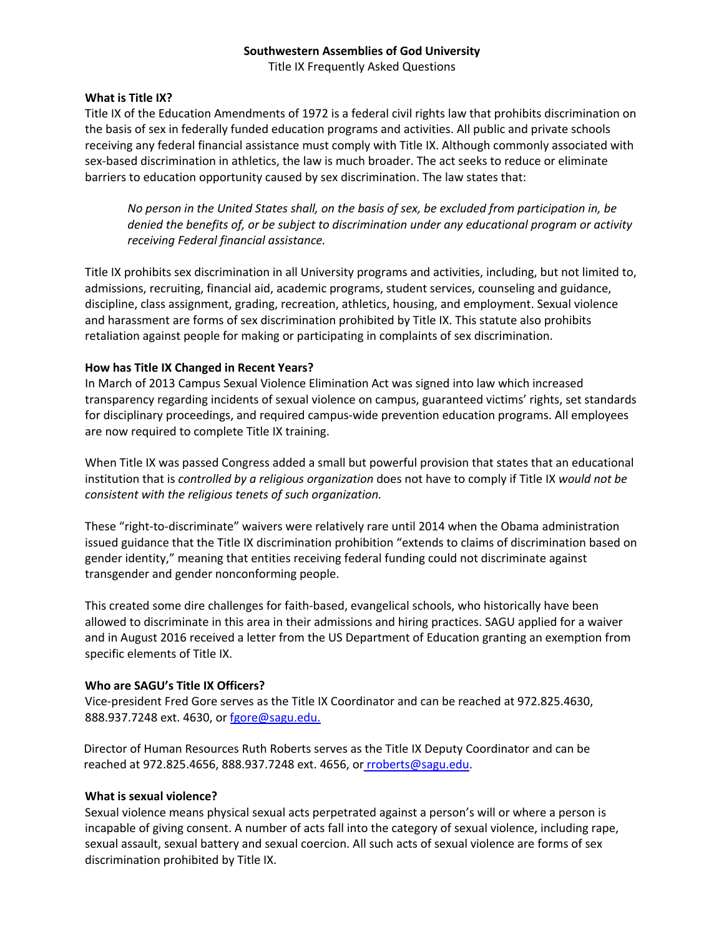Title IX Frequently Asked Questions

#### **What is Title IX?**

Title IX of the Education Amendments of 1972 is a federal civil rights law that prohibits discrimination on the basis of sex in federally funded education programs and activities. All public and private schools receiving any federal financial assistance must comply with Title IX. Although commonly associated with sex-based discrimination in athletics, the law is much broader. The act seeks to reduce or eliminate barriers to education opportunity caused by sex discrimination. The law states that:

*No person in the United States shall, on the basis of sex, be excluded from participation in, be denied the benefits of, or be subject to discrimination under any educational program or activity receiving Federal financial assistance.*

Title IX prohibits sex discrimination in all University programs and activities, including, but not limited to, admissions, recruiting, financial aid, academic programs, student services, counseling and guidance, discipline, class assignment, grading, recreation, athletics, housing, and employment. Sexual violence and harassment are forms of sex discrimination prohibited by Title IX. This statute also prohibits retaliation against people for making or participating in complaints of sex discrimination.

## **How has Title IX Changed in Recent Years?**

In March of 2013 Campus Sexual Violence Elimination Act was signed into law which increased transparency regarding incidents of sexual violence on campus, guaranteed victims' rights, set standards for disciplinary proceedings, and required campus-wide prevention education programs. All employees are now required to complete Title IX training.

When Title IX was passed Congress added a small but powerful provision that states that an educational institution that is *controlled by a religious organization* does not have to comply if Title IX *would not be consistent with the religious tenets of such organization.*

These "right-to-discriminate" waivers were relatively rare until 2014 when the Obama administration issued guidance that the Title IX discrimination prohibition "extends to claims of discrimination based on gender identity," meaning that entities receiving federal funding could not discriminate against transgender and gender nonconforming people.

This created some dire challenges for faith-based, evangelical schools, who historically have been allowed to discriminate in this area in their admissions and hiring practices. SAGU applied for a waiver and in August 2016 received a letter from the US Department of Education granting an exemption from specific elements of Title IX.

#### **Who are SAGU's Title IX Officers?**

Vice-president Fred Gore serves as the Title IX Coordinator and can be reached at 972.825.4630, 888.937.7248 ext. 4630, or fgore@sagu.edu.

Director of Human Resources Ruth Roberts serves as the Title IX Deputy Coordinator and can be reached at 972.825.4656, 888.937.7248 ext. 4656, or rroberts@sagu.edu.

#### **What is sexual violence?**

Sexual violence means physical sexual acts perpetrated against a person's will or where a person is incapable of giving consent. A number of acts fall into the category of sexual violence, including rape, sexual assault, sexual battery and sexual coercion. All such acts of sexual violence are forms of sex discrimination prohibited by Title IX.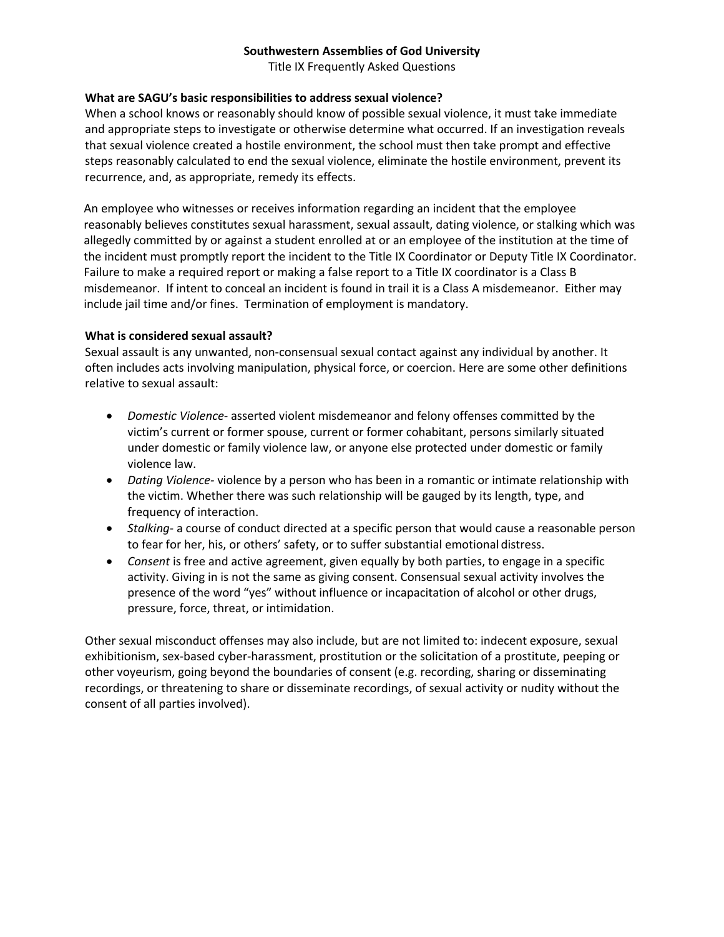Title IX Frequently Asked Questions

# **What are SAGU's basic responsibilities to address sexual violence?**

When a school knows or reasonably should know of possible sexual violence, it must take immediate and appropriate steps to investigate or otherwise determine what occurred. If an investigation reveals that sexual violence created a hostile environment, the school must then take prompt and effective steps reasonably calculated to end the sexual violence, eliminate the hostile environment, prevent its recurrence, and, as appropriate, remedy its effects.

An employee who witnesses or receives information regarding an incident that the employee reasonably believes constitutes sexual harassment, sexual assault, dating violence, or stalking which was allegedly committed by or against a student enrolled at or an employee of the institution at the time of the incident must promptly report the incident to the Title IX Coordinator or Deputy Title IX Coordinator. Failure to make a required report or making a false report to a Title IX coordinator is a Class B misdemeanor. If intent to conceal an incident is found in trail it is a Class A misdemeanor. Either may include jail time and/or fines. Termination of employment is mandatory.

#### **What is considered sexual assault?**

Sexual assault is any unwanted, non-consensual sexual contact against any individual by another. It often includes acts involving manipulation, physical force, or coercion. Here are some other definitions relative to sexual assault:

- *Domestic Violence-* asserted violent misdemeanor and felony offenses committed by the victim's current or former spouse, current or former cohabitant, persons similarly situated under domestic or family violence law, or anyone else protected under domestic or family violence law.
- *Dating Violence-* violence by a person who has been in a romantic or intimate relationship with the victim. Whether there was such relationship will be gauged by its length, type, and frequency of interaction.
- *Stalking* a course of conduct directed at a specific person that would cause a reasonable person to fear for her, his, or others' safety, or to suffer substantial emotional distress.
- *Consent* is free and active agreement, given equally by both parties, to engage in a specific activity. Giving in is not the same as giving consent. Consensual sexual activity involves the presence of the word "yes" without influence or incapacitation of alcohol or other drugs, pressure, force, threat, or intimidation.

Other sexual misconduct offenses may also include, but are not limited to: indecent exposure, sexual exhibitionism, sex-based cyber-harassment, prostitution or the solicitation of a prostitute, peeping or other voyeurism, going beyond the boundaries of consent (e.g. recording, sharing or disseminating recordings, or threatening to share or disseminate recordings, of sexual activity or nudity without the consent of all parties involved).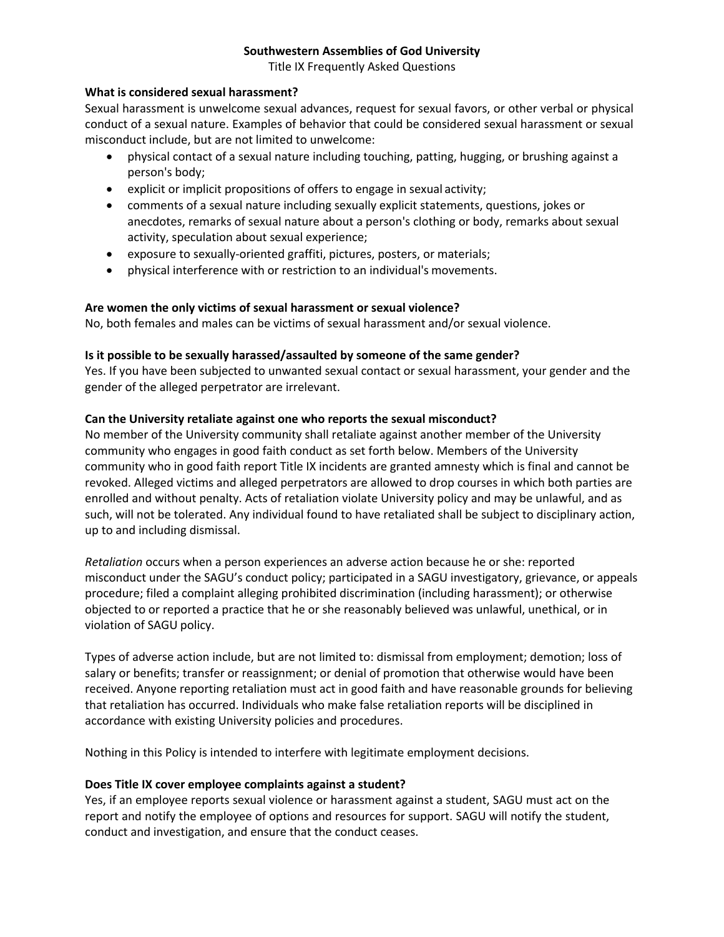Title IX Frequently Asked Questions

#### **What is considered sexual harassment?**

Sexual harassment is unwelcome sexual advances, request for sexual favors, or other verbal or physical conduct of a sexual nature. Examples of behavior that could be considered sexual harassment or sexual misconduct include, but are not limited to unwelcome:

- physical contact of a sexual nature including touching, patting, hugging, or brushing against a person's body;
- explicit or implicit propositions of offers to engage in sexual activity;
- comments of a sexual nature including sexually explicit statements, questions, jokes or anecdotes, remarks of sexual nature about a person's clothing or body, remarks about sexual activity, speculation about sexual experience;
- exposure to sexually-oriented graffiti, pictures, posters, or materials;
- physical interference with or restriction to an individual's movements.

#### **Are women the only victims of sexual harassment or sexual violence?**

No, both females and males can be victims of sexual harassment and/or sexual violence.

#### **Is it possible to be sexually harassed/assaulted by someone of the same gender?**

Yes. If you have been subjected to unwanted sexual contact or sexual harassment, your gender and the gender of the alleged perpetrator are irrelevant.

#### **Can the University retaliate against one who reports the sexual misconduct?**

No member of the University community shall retaliate against another member of the University community who engages in good faith conduct as set forth below. Members of the University community who in good faith report Title IX incidents are granted amnesty which is final and cannot be revoked. Alleged victims and alleged perpetrators are allowed to drop courses in which both parties are enrolled and without penalty. Acts of retaliation violate University policy and may be unlawful, and as such, will not be tolerated. Any individual found to have retaliated shall be subject to disciplinary action, up to and including dismissal.

*Retaliation* occurs when a person experiences an adverse action because he or she: reported misconduct under the SAGU's conduct policy; participated in a SAGU investigatory, grievance, or appeals procedure; filed a complaint alleging prohibited discrimination (including harassment); or otherwise objected to or reported a practice that he or she reasonably believed was unlawful, unethical, or in violation of SAGU policy.

Types of adverse action include, but are not limited to: dismissal from employment; demotion; loss of salary or benefits; transfer or reassignment; or denial of promotion that otherwise would have been received. Anyone reporting retaliation must act in good faith and have reasonable grounds for believing that retaliation has occurred. Individuals who make false retaliation reports will be disciplined in accordance with existing University policies and procedures.

Nothing in this Policy is intended to interfere with legitimate employment decisions.

#### **Does Title IX cover employee complaints against a student?**

Yes, if an employee reports sexual violence or harassment against a student, SAGU must act on the report and notify the employee of options and resources for support. SAGU will notify the student, conduct and investigation, and ensure that the conduct ceases.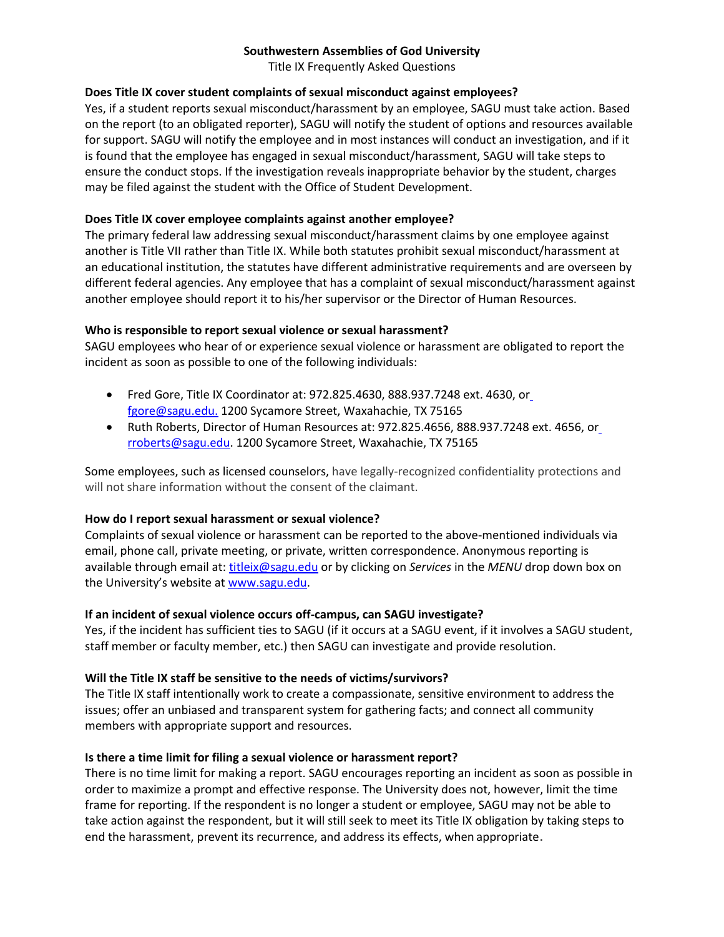Title IX Frequently Asked Questions

## **Does Title IX cover student complaints of sexual misconduct against employees?**

Yes, if a student reports sexual misconduct/harassment by an employee, SAGU must take action. Based on the report (to an obligated reporter), SAGU will notify the student of options and resources available for support. SAGU will notify the employee and in most instances will conduct an investigation, and if it is found that the employee has engaged in sexual misconduct/harassment, SAGU will take steps to ensure the conduct stops. If the investigation reveals inappropriate behavior by the student, charges may be filed against the student with the Office of Student Development.

## **Does Title IX cover employee complaints against another employee?**

The primary federal law addressing sexual misconduct/harassment claims by one employee against another is Title VII rather than Title IX. While both statutes prohibit sexual misconduct/harassment at an educational institution, the statutes have different administrative requirements and are overseen by different federal agencies. Any employee that has a complaint of sexual misconduct/harassment against another employee should report it to his/her supervisor or the Director of Human Resources.

## **Who is responsible to report sexual violence or sexual harassment?**

SAGU employees who hear of or experience sexual violence or harassment are obligated to report the incident as soon as possible to one of the following individuals:

- Fred Gore, Title IX Coordinator at: 972.825.4630, 888.937.7248 ext. 4630, or fgore@sagu.edu. 1200 Sycamore Street, Waxahachie, TX 75165
- Ruth Roberts, Director of Human Resources at: 972.825.4656, 888.937.7248 ext. 4656, or rroberts@sagu.edu. 1200 Sycamore Street, Waxahachie, TX 75165

Some employees, such as licensed counselors, have legally-recognized confidentiality protections and will not share information without the consent of the claimant.

#### **How do I report sexual harassment or sexual violence?**

Complaints of sexual violence or harassment can be reported to the above-mentioned individuals via email, phone call, private meeting, or private, written correspondence. Anonymous reporting is available through email at: titleix@sagu.edu or by clicking on *Services* in the *MENU* drop down box on the University's website at www.sagu.edu.

#### **If an incident of sexual violence occurs off-campus, can SAGU investigate?**

Yes, if the incident has sufficient ties to SAGU (if it occurs at a SAGU event, if it involves a SAGU student, staff member or faculty member, etc.) then SAGU can investigate and provide resolution.

# **Will the Title IX staff be sensitive to the needs of victims/survivors?**

The Title IX staff intentionally work to create a compassionate, sensitive environment to address the issues; offer an unbiased and transparent system for gathering facts; and connect all community members with appropriate support and resources.

#### **Is there a time limit for filing a sexual violence or harassment report?**

There is no time limit for making a report. SAGU encourages reporting an incident as soon as possible in order to maximize a prompt and effective response. The University does not, however, limit the time frame for reporting. If the respondent is no longer a student or employee, SAGU may not be able to take action against the respondent, but it will still seek to meet its Title IX obligation by taking steps to end the harassment, prevent its recurrence, and address its effects, when appropriate.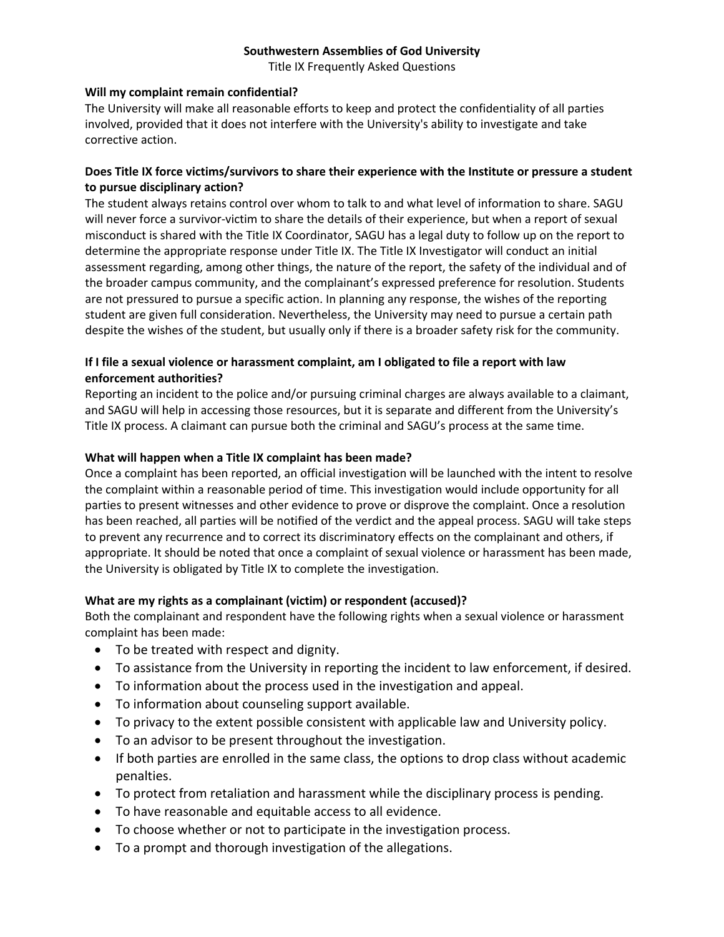Title IX Frequently Asked Questions

#### **Will my complaint remain confidential?**

The University will make all reasonable efforts to keep and protect the confidentiality of all parties involved, provided that it does not interfere with the University's ability to investigate and take corrective action.

# **Does Title IX force victims/survivors to share their experience with the Institute or pressure a student to pursue disciplinary action?**

The student always retains control over whom to talk to and what level of information to share. SAGU will never force a survivor-victim to share the details of their experience, but when a report of sexual misconduct is shared with the Title IX Coordinator, SAGU has a legal duty to follow up on the report to determine the appropriate response under Title IX. The Title IX Investigator will conduct an initial assessment regarding, among other things, the nature of the report, the safety of the individual and of the broader campus community, and the complainant's expressed preference for resolution. Students are not pressured to pursue a specific action. In planning any response, the wishes of the reporting student are given full consideration. Nevertheless, the University may need to pursue a certain path despite the wishes of the student, but usually only if there is a broader safety risk for the community.

# **If I file a sexual violence or harassment complaint, am I obligated to file a report with law enforcement authorities?**

Reporting an incident to the police and/or pursuing criminal charges are always available to a claimant, and SAGU will help in accessing those resources, but it is separate and different from the University's Title IX process. A claimant can pursue both the criminal and SAGU's process at the same time.

## **What will happen when a Title IX complaint has been made?**

Once a complaint has been reported, an official investigation will be launched with the intent to resolve the complaint within a reasonable period of time. This investigation would include opportunity for all parties to present witnesses and other evidence to prove or disprove the complaint. Once a resolution has been reached, all parties will be notified of the verdict and the appeal process. SAGU will take steps to prevent any recurrence and to correct its discriminatory effects on the complainant and others, if appropriate. It should be noted that once a complaint of sexual violence or harassment has been made, the University is obligated by Title IX to complete the investigation.

# **What are my rights as a complainant (victim) or respondent (accused)?**

Both the complainant and respondent have the following rights when a sexual violence or harassment complaint has been made:

- To be treated with respect and dignity.
- To assistance from the University in reporting the incident to law enforcement, if desired.
- To information about the process used in the investigation and appeal.
- To information about counseling support available.
- To privacy to the extent possible consistent with applicable law and University policy.
- To an advisor to be present throughout the investigation.
- If both parties are enrolled in the same class, the options to drop class without academic penalties.
- To protect from retaliation and harassment while the disciplinary process is pending.
- To have reasonable and equitable access to all evidence.
- To choose whether or not to participate in the investigation process.
- To a prompt and thorough investigation of the allegations.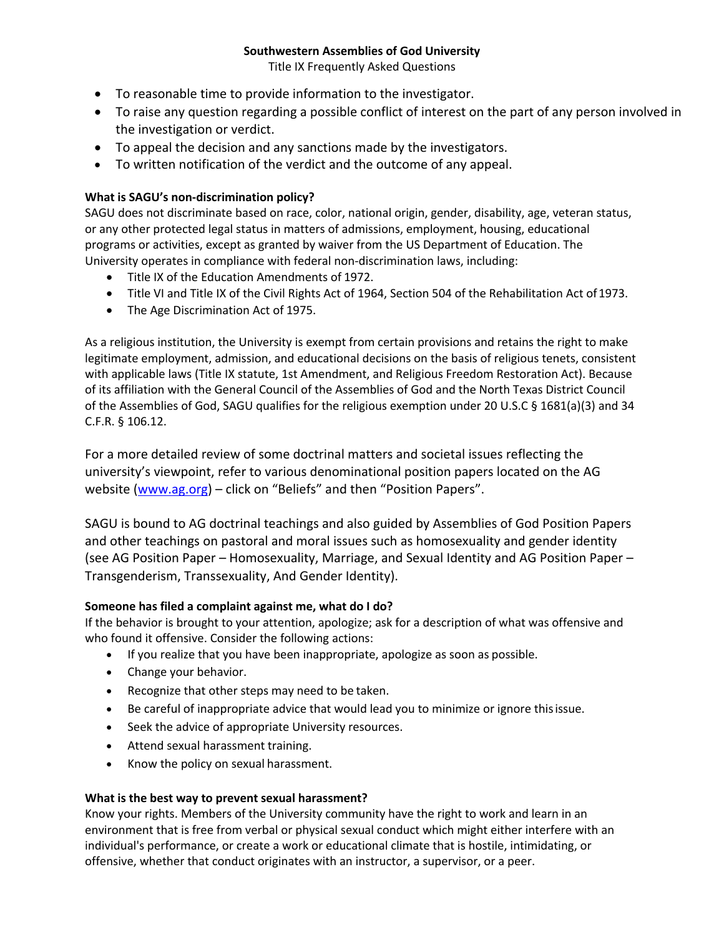Title IX Frequently Asked Questions

- To reasonable time to provide information to the investigator.
- To raise any question regarding a possible conflict of interest on the part of any person involved in the investigation or verdict.
- To appeal the decision and any sanctions made by the investigators.
- To written notification of the verdict and the outcome of any appeal.

## **What is SAGU's non-discrimination policy?**

SAGU does not discriminate based on race, color, national origin, gender, disability, age, veteran status, or any other protected legal status in matters of admissions, employment, housing, educational programs or activities, except as granted by waiver from the US Department of Education. The University operates in compliance with federal non-discrimination laws, including:

- Title IX of the Education Amendments of 1972.
- Title VI and Title IX of the Civil Rights Act of 1964, Section 504 of the Rehabilitation Act of1973.
- The Age Discrimination Act of 1975.

As a religious institution, the University is exempt from certain provisions and retains the right to make legitimate employment, admission, and educational decisions on the basis of religious tenets, consistent with applicable laws (Title IX statute, 1st Amendment, and Religious Freedom Restoration Act). Because of its affiliation with the General Council of the Assemblies of God and the North Texas District Council of the Assemblies of God, SAGU qualifies for the religious exemption under 20 U.S.C § 1681(a)(3) and 34 C.F.R. § 106.12.

For a more detailed review of some doctrinal matters and societal issues reflecting the university's viewpoint, refer to various denominational position papers located on the AG website (www.ag.org) – click on "Beliefs" and then "Position Papers".

SAGU is bound to AG doctrinal teachings and also guided by Assemblies of God Position Papers and other teachings on pastoral and moral issues such as homosexuality and gender identity (see AG Position Paper – Homosexuality, Marriage, and Sexual Identity and AG Position Paper – Transgenderism, Transsexuality, And Gender Identity).

# **Someone has filed a complaint against me, what do I do?**

If the behavior is brought to your attention, apologize; ask for a description of what was offensive and who found it offensive. Consider the following actions:

- If you realize that you have been inappropriate, apologize as soon as possible.
- Change your behavior.
- Recognize that other steps may need to be taken.
- Be careful of inappropriate advice that would lead you to minimize or ignore thisissue.
- Seek the advice of appropriate University resources.
- Attend sexual harassment training.
- Know the policy on sexual harassment.

#### **What is the best way to prevent sexual harassment?**

Know your rights. Members of the University community have the right to work and learn in an environment that is free from verbal or physical sexual conduct which might either interfere with an individual's performance, or create a work or educational climate that is hostile, intimidating, or offensive, whether that conduct originates with an instructor, a supervisor, or a peer.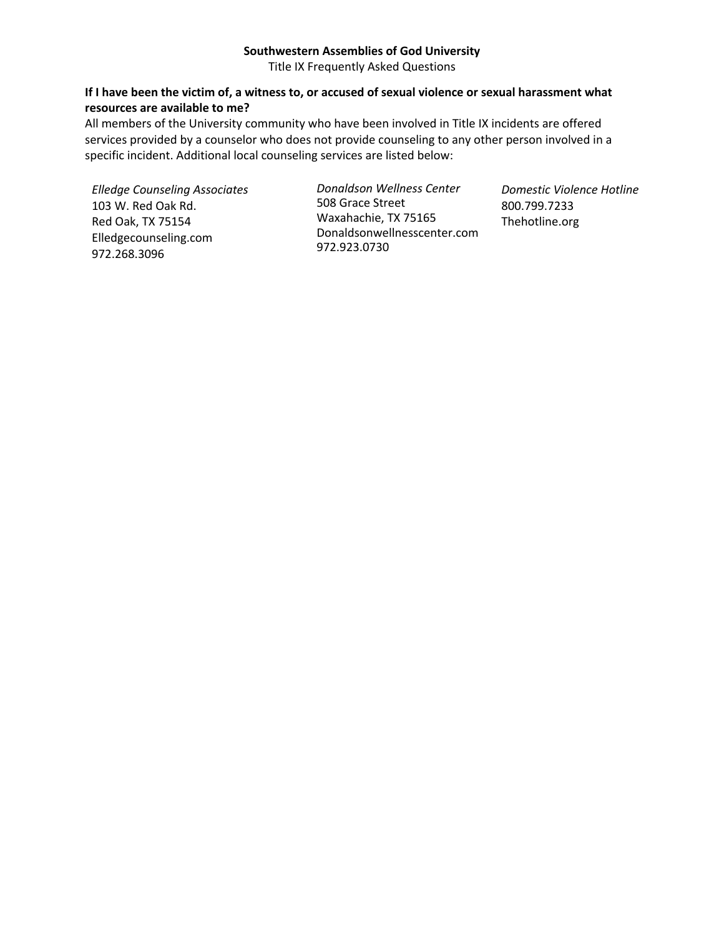Title IX Frequently Asked Questions

## **If I have been the victim of, a witness to, or accused of sexual violence or sexual harassment what resources are available to me?**

All members of the University community who have been involved in Title IX incidents are offered services provided by a counselor who does not provide counseling to any other person involved in a specific incident. Additional local counseling services are listed below:

*Elledge Counseling Associates* 103 W. Red Oak Rd. Red Oak, TX 75154 Elledgecounseling.com 972.268.3096

*Donaldson Wellness Center* 508 Grace Street Waxahachie, TX 75165 Donaldsonwellnesscenter.com 972.923.0730

*Domestic Violence Hotline* 800.799.7233 Thehotline.org